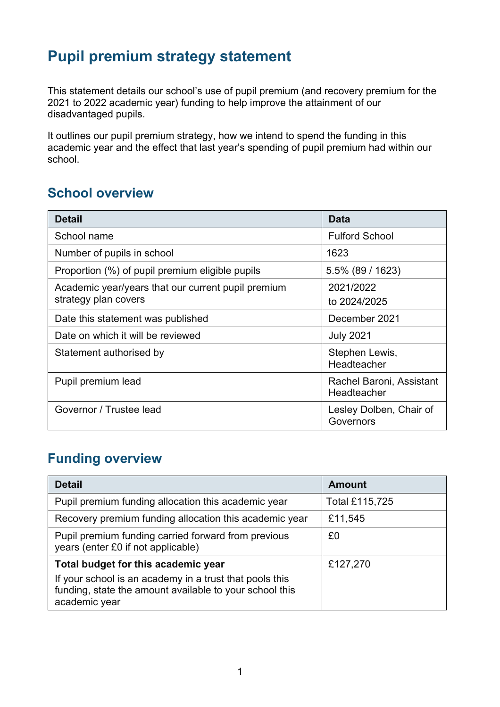# **Pupil premium strategy statement**

This statement details our school's use of pupil premium (and recovery premium for the 2021 to 2022 academic year) funding to help improve the attainment of our disadvantaged pupils.

It outlines our pupil premium strategy, how we intend to spend the funding in this academic year and the effect that last year's spending of pupil premium had within our school.

## **School overview**

| <b>Detail</b>                                                              | Data                                    |
|----------------------------------------------------------------------------|-----------------------------------------|
| School name                                                                | <b>Fulford School</b>                   |
| Number of pupils in school                                                 | 1623                                    |
| Proportion (%) of pupil premium eligible pupils                            | 5.5% (89 / 1623)                        |
| Academic year/years that our current pupil premium<br>strategy plan covers | 2021/2022<br>to 2024/2025               |
| Date this statement was published                                          | December 2021                           |
| Date on which it will be reviewed                                          | <b>July 2021</b>                        |
| Statement authorised by                                                    | Stephen Lewis,<br>Headteacher           |
| Pupil premium lead                                                         | Rachel Baroni, Assistant<br>Headteacher |
| Governor / Trustee lead                                                    | Lesley Dolben, Chair of<br>Governors    |

## **Funding overview**

| <b>Detail</b>                                                                                                                       | <b>Amount</b>  |
|-------------------------------------------------------------------------------------------------------------------------------------|----------------|
| Pupil premium funding allocation this academic year                                                                                 | Total £115,725 |
| Recovery premium funding allocation this academic year                                                                              | £11,545        |
| Pupil premium funding carried forward from previous<br>years (enter £0 if not applicable)                                           | £0             |
| Total budget for this academic year                                                                                                 | £127,270       |
| If your school is an academy in a trust that pools this<br>funding, state the amount available to your school this<br>academic year |                |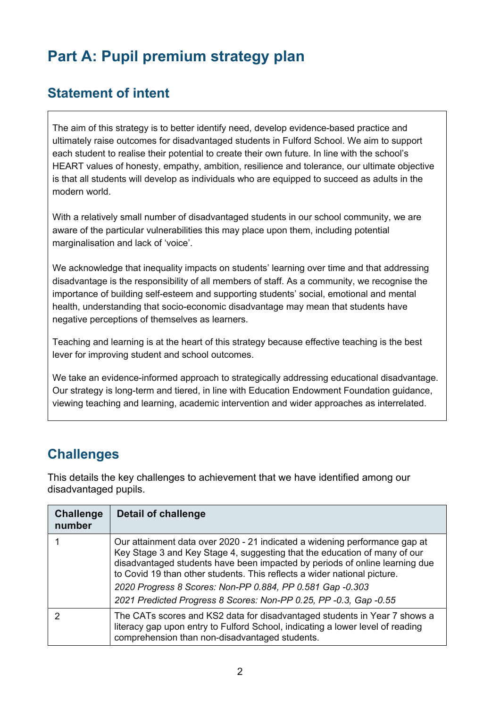# **Part A: Pupil premium strategy plan**

## **Statement of intent**

The aim of this strategy is to better identify need, develop evidence-based practice and ultimately raise outcomes for disadvantaged students in Fulford School. We aim to support each student to realise their potential to create their own future. In line with the school's HEART values of honesty, empathy, ambition, resilience and tolerance, our ultimate objective is that all students will develop as individuals who are equipped to succeed as adults in the modern world.

With a relatively small number of disadvantaged students in our school community, we are aware of the particular vulnerabilities this may place upon them, including potential marginalisation and lack of 'voice'.

We acknowledge that inequality impacts on students' learning over time and that addressing disadvantage is the responsibility of all members of staff. As a community, we recognise the importance of building self-esteem and supporting students' social, emotional and mental health, understanding that socio-economic disadvantage may mean that students have negative perceptions of themselves as learners.

Teaching and learning is at the heart of this strategy because effective teaching is the best lever for improving student and school outcomes.

We take an evidence-informed approach to strategically addressing educational disadvantage. Our strategy is long-term and tiered, in line with Education Endowment Foundation guidance, viewing teaching and learning, academic intervention and wider approaches as interrelated.

## **Challenges**

This details the key challenges to achievement that we have identified among our disadvantaged pupils.

| <b>Challenge</b><br>number | Detail of challenge                                                                                                                                                                                                                                                                                                                                                                                                                                  |
|----------------------------|------------------------------------------------------------------------------------------------------------------------------------------------------------------------------------------------------------------------------------------------------------------------------------------------------------------------------------------------------------------------------------------------------------------------------------------------------|
|                            | Our attainment data over 2020 - 21 indicated a widening performance gap at<br>Key Stage 3 and Key Stage 4, suggesting that the education of many of our<br>disadvantaged students have been impacted by periods of online learning due<br>to Covid 19 than other students. This reflects a wider national picture.<br>2020 Progress 8 Scores: Non-PP 0.884, PP 0.581 Gap -0.303<br>2021 Predicted Progress 8 Scores: Non-PP 0.25, PP -0.3, Gap -0.55 |
|                            | The CATs scores and KS2 data for disadvantaged students in Year 7 shows a<br>literacy gap upon entry to Fulford School, indicating a lower level of reading<br>comprehension than non-disadvantaged students.                                                                                                                                                                                                                                        |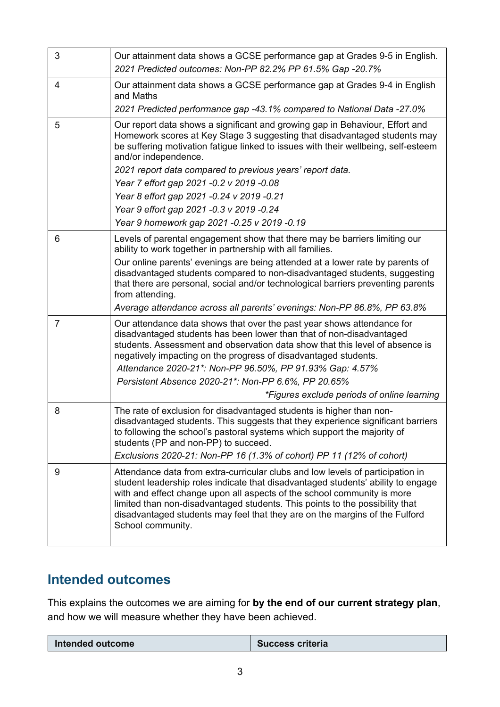| 3              | Our attainment data shows a GCSE performance gap at Grades 9-5 in English.<br>2021 Predicted outcomes: Non-PP 82.2% PP 61.5% Gap -20.7%                                                                                                                                                                                                                                                                                           |
|----------------|-----------------------------------------------------------------------------------------------------------------------------------------------------------------------------------------------------------------------------------------------------------------------------------------------------------------------------------------------------------------------------------------------------------------------------------|
| 4              | Our attainment data shows a GCSE performance gap at Grades 9-4 in English<br>and Maths<br>2021 Predicted performance gap -43.1% compared to National Data -27.0%                                                                                                                                                                                                                                                                  |
| 5              | Our report data shows a significant and growing gap in Behaviour, Effort and<br>Homework scores at Key Stage 3 suggesting that disadvantaged students may<br>be suffering motivation fatigue linked to issues with their wellbeing, self-esteem<br>and/or independence.                                                                                                                                                           |
|                | 2021 report data compared to previous years' report data.                                                                                                                                                                                                                                                                                                                                                                         |
|                | Year 7 effort gap 2021 -0.2 v 2019 -0.08                                                                                                                                                                                                                                                                                                                                                                                          |
|                | Year 8 effort gap 2021 -0.24 v 2019 -0.21                                                                                                                                                                                                                                                                                                                                                                                         |
|                | Year 9 effort gap 2021 -0.3 v 2019 -0.24                                                                                                                                                                                                                                                                                                                                                                                          |
|                | Year 9 homework gap 2021 -0.25 v 2019 -0.19                                                                                                                                                                                                                                                                                                                                                                                       |
| 6              | Levels of parental engagement show that there may be barriers limiting our<br>ability to work together in partnership with all families.                                                                                                                                                                                                                                                                                          |
|                | Our online parents' evenings are being attended at a lower rate by parents of<br>disadvantaged students compared to non-disadvantaged students, suggesting<br>that there are personal, social and/or technological barriers preventing parents<br>from attending.                                                                                                                                                                 |
|                | Average attendance across all parents' evenings: Non-PP 86.8%, PP 63.8%                                                                                                                                                                                                                                                                                                                                                           |
| $\overline{7}$ | Our attendance data shows that over the past year shows attendance for<br>disadvantaged students has been lower than that of non-disadvantaged<br>students. Assessment and observation data show that this level of absence is<br>negatively impacting on the progress of disadvantaged students.<br>Attendance 2020-21*: Non-PP 96.50%, PP 91.93% Gap: 4.57%<br>Persistent Absence 2020-21*: Non-PP 6.6%, PP 20.65%              |
|                | *Figures exclude periods of online learning                                                                                                                                                                                                                                                                                                                                                                                       |
| 8              | The rate of exclusion for disadvantaged students is higher than non-<br>disadvantaged students. This suggests that they experience significant barriers<br>to following the school's pastoral systems which support the majority of<br>students (PP and non-PP) to succeed.<br>Exclusions 2020-21: Non-PP 16 (1.3% of cohort) PP 11 (12% of cohort)                                                                               |
|                |                                                                                                                                                                                                                                                                                                                                                                                                                                   |
| 9              | Attendance data from extra-curricular clubs and low levels of participation in<br>student leadership roles indicate that disadvantaged students' ability to engage<br>with and effect change upon all aspects of the school community is more<br>limited than non-disadvantaged students. This points to the possibility that<br>disadvantaged students may feel that they are on the margins of the Fulford<br>School community. |

# **Intended outcomes**

This explains the outcomes we are aiming for **by the end of our current strategy plan**, and how we will measure whether they have been achieved.

| Intended outcome | <b>Success criteria</b> |
|------------------|-------------------------|
|                  |                         |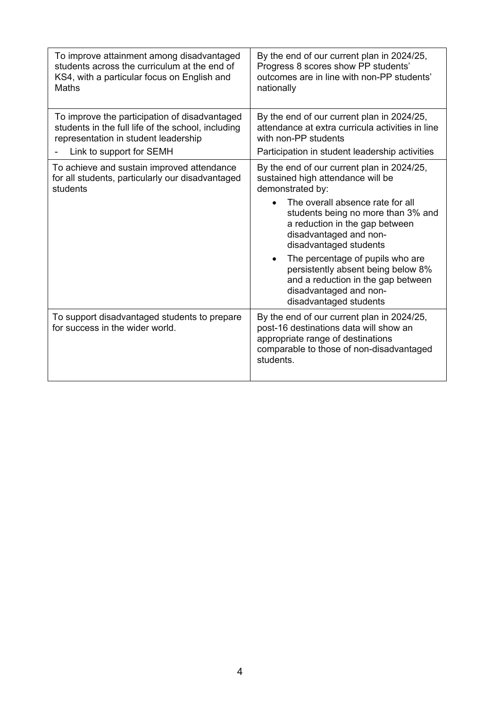| To improve attainment among disadvantaged                                       | By the end of our current plan in 2024/25,                                                                                                                                         |
|---------------------------------------------------------------------------------|------------------------------------------------------------------------------------------------------------------------------------------------------------------------------------|
| students across the curriculum at the end of                                    | Progress 8 scores show PP students'                                                                                                                                                |
| KS4, with a particular focus on English and                                     | outcomes are in line with non-PP students'                                                                                                                                         |
| <b>Maths</b>                                                                    | nationally                                                                                                                                                                         |
| To improve the participation of disadvantaged                                   | By the end of our current plan in 2024/25,                                                                                                                                         |
| students in the full life of the school, including                              | attendance at extra curricula activities in line                                                                                                                                   |
| representation in student leadership                                            | with non-PP students                                                                                                                                                               |
| Link to support for SEMH                                                        | Participation in student leadership activities                                                                                                                                     |
| To achieve and sustain improved attendance                                      | By the end of our current plan in 2024/25,                                                                                                                                         |
| for all students, particularly our disadvantaged                                | sustained high attendance will be                                                                                                                                                  |
| students                                                                        | demonstrated by:                                                                                                                                                                   |
|                                                                                 | The overall absence rate for all<br>students being no more than 3% and<br>a reduction in the gap between<br>disadvantaged and non-<br>disadvantaged students                       |
|                                                                                 | The percentage of pupils who are<br>$\bullet$<br>persistently absent being below 8%<br>and a reduction in the gap between<br>disadvantaged and non-<br>disadvantaged students      |
| To support disadvantaged students to prepare<br>for success in the wider world. | By the end of our current plan in 2024/25,<br>post-16 destinations data will show an<br>appropriate range of destinations<br>comparable to those of non-disadvantaged<br>students. |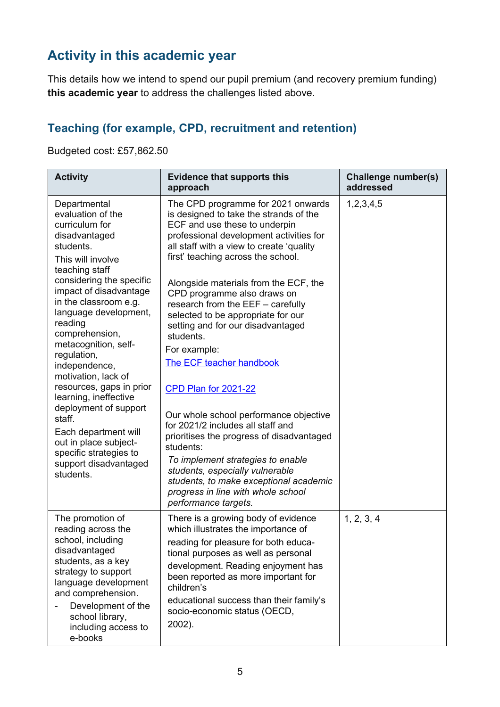# **Activity in this academic year**

This details how we intend to spend our pupil premium (and recovery premium funding) **this academic year** to address the challenges listed above.

#### **Teaching (for example, CPD, recruitment and retention)**

Budgeted cost: £57,862.50

| <b>Activity</b>                                                                                                                                                                                                                                                                                                                                                                                                                                                                                                                                       | <b>Evidence that supports this</b><br>approach                                                                                                                                                                                                                                                                                                                                                                                                                                                                                                                                                                                                                                                                                                                                                                                               | <b>Challenge number(s)</b><br>addressed |
|-------------------------------------------------------------------------------------------------------------------------------------------------------------------------------------------------------------------------------------------------------------------------------------------------------------------------------------------------------------------------------------------------------------------------------------------------------------------------------------------------------------------------------------------------------|----------------------------------------------------------------------------------------------------------------------------------------------------------------------------------------------------------------------------------------------------------------------------------------------------------------------------------------------------------------------------------------------------------------------------------------------------------------------------------------------------------------------------------------------------------------------------------------------------------------------------------------------------------------------------------------------------------------------------------------------------------------------------------------------------------------------------------------------|-----------------------------------------|
| Departmental<br>evaluation of the<br>curriculum for<br>disadvantaged<br>students.<br>This will involve<br>teaching staff<br>considering the specific<br>impact of disadvantage<br>in the classroom e.g.<br>language development,<br>reading<br>comprehension,<br>metacognition, self-<br>regulation,<br>independence,<br>motivation, lack of<br>resources, gaps in prior<br>learning, ineffective<br>deployment of support<br>staff.<br>Each department will<br>out in place subject-<br>specific strategies to<br>support disadvantaged<br>students. | The CPD programme for 2021 onwards<br>is designed to take the strands of the<br>ECF and use these to underpin<br>professional development activities for<br>all staff with a view to create 'quality<br>first' teaching across the school.<br>Alongside materials from the ECF, the<br>CPD programme also draws on<br>research from the EEF - carefully<br>selected to be appropriate for our<br>setting and for our disadvantaged<br>students.<br>For example:<br>The ECF teacher handbook<br>CPD Plan for 2021-22<br>Our whole school performance objective<br>for 2021/2 includes all staff and<br>prioritises the progress of disadvantaged<br>students:<br>To implement strategies to enable<br>students, especially vulnerable<br>students, to make exceptional academic<br>progress in line with whole school<br>performance targets. | 1,2,3,4,5                               |
| The promotion of<br>reading across the<br>school, including<br>disadvantaged<br>students, as a key<br>strategy to support<br>language development<br>and comprehension.<br>Development of the<br>school library,<br>including access to<br>e-books                                                                                                                                                                                                                                                                                                    | There is a growing body of evidence<br>which illustrates the importance of<br>reading for pleasure for both educa-<br>tional purposes as well as personal<br>development. Reading enjoyment has<br>been reported as more important for<br>children's<br>educational success than their family's<br>socio-economic status (OECD,<br>2002).                                                                                                                                                                                                                                                                                                                                                                                                                                                                                                    | 1, 2, 3, 4                              |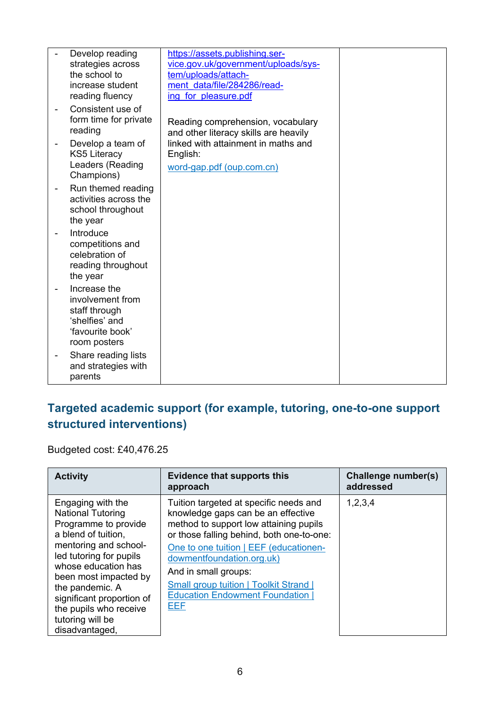|                          | Develop reading       | https://assets.publishing.ser-        |  |
|--------------------------|-----------------------|---------------------------------------|--|
|                          | strategies across     | vice.gov.uk/government/uploads/sys-   |  |
|                          | the school to         | tem/uploads/attach-                   |  |
|                          | increase student      | ment data/file/284286/read-           |  |
|                          | reading fluency       | ing for pleasure.pdf                  |  |
|                          |                       |                                       |  |
| $\overline{\phantom{0}}$ | Consistent use of     |                                       |  |
|                          | form time for private | Reading comprehension, vocabulary     |  |
|                          | reading               | and other literacy skills are heavily |  |
|                          | Develop a team of     | linked with attainment in maths and   |  |
|                          | <b>KS5 Literacy</b>   | English:                              |  |
|                          | Leaders (Reading      |                                       |  |
|                          | Champions)            | word-gap.pdf (oup.com.cn)             |  |
|                          |                       |                                       |  |
|                          | Run themed reading    |                                       |  |
|                          | activities across the |                                       |  |
|                          | school throughout     |                                       |  |
|                          | the year              |                                       |  |
|                          | Introduce             |                                       |  |
|                          |                       |                                       |  |
|                          | competitions and      |                                       |  |
|                          | celebration of        |                                       |  |
|                          | reading throughout    |                                       |  |
|                          | the year              |                                       |  |
|                          | Increase the          |                                       |  |
|                          | involvement from      |                                       |  |
|                          | staff through         |                                       |  |
|                          | 'shelfies' and        |                                       |  |
|                          | 'favourite book'      |                                       |  |
|                          |                       |                                       |  |
|                          | room posters          |                                       |  |
|                          | Share reading lists   |                                       |  |
|                          | and strategies with   |                                       |  |
|                          | parents               |                                       |  |

### **Targeted academic support (for example, tutoring, one-to-one support structured interventions)**

Budgeted cost: £40,476.25

| <b>Activity</b>                                                                                                                                                                                                                                                                                                  | <b>Evidence that supports this</b><br>approach                                                                                                                                                                                                                                                                                                                      | <b>Challenge number(s)</b><br>addressed |
|------------------------------------------------------------------------------------------------------------------------------------------------------------------------------------------------------------------------------------------------------------------------------------------------------------------|---------------------------------------------------------------------------------------------------------------------------------------------------------------------------------------------------------------------------------------------------------------------------------------------------------------------------------------------------------------------|-----------------------------------------|
| Engaging with the<br><b>National Tutoring</b><br>Programme to provide<br>a blend of tuition,<br>mentoring and school-<br>led tutoring for pupils<br>whose education has<br>been most impacted by<br>the pandemic. A<br>significant proportion of<br>the pupils who receive<br>tutoring will be<br>disadvantaged, | Tuition targeted at specific needs and<br>knowledge gaps can be an effective<br>method to support low attaining pupils<br>or those falling behind, both one-to-one:<br>One to one tuition   EEF (educationen-<br>dowmentfoundation.org.uk)<br>And in small groups:<br><b>Small group tuition   Toolkit Strand  </b><br><b>Education Endowment Foundation</b><br>EEF | 1,2,3,4                                 |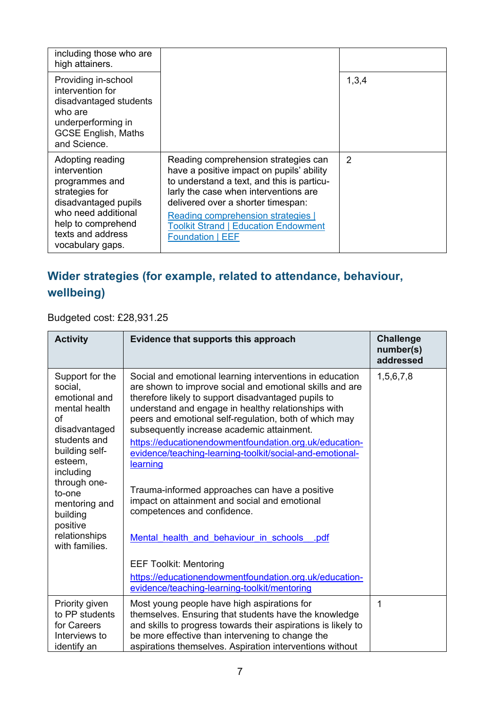| including those who are<br>high attainers.                                                                                                                                         |                                                                                                                                                                                                                                                                                                                                |       |
|------------------------------------------------------------------------------------------------------------------------------------------------------------------------------------|--------------------------------------------------------------------------------------------------------------------------------------------------------------------------------------------------------------------------------------------------------------------------------------------------------------------------------|-------|
| Providing in-school<br>intervention for<br>disadvantaged students<br>who are<br>underperforming in<br><b>GCSE English, Maths</b><br>and Science.                                   |                                                                                                                                                                                                                                                                                                                                | 1,3,4 |
| Adopting reading<br>intervention<br>programmes and<br>strategies for<br>disadvantaged pupils<br>who need additional<br>help to comprehend<br>texts and address<br>vocabulary gaps. | Reading comprehension strategies can<br>have a positive impact on pupils' ability<br>to understand a text, and this is particu-<br>larly the case when interventions are<br>delivered over a shorter timespan:<br>Reading comprehension strategies  <br><b>Toolkit Strand   Education Endowment</b><br><b>Foundation   EEF</b> | 2     |

## **Wider strategies (for example, related to attendance, behaviour, wellbeing)**

Budgeted cost: £28,931.25

| <b>Activity</b>                                                                                                                                                                                                                                     | Evidence that supports this approach                                                                                                                                                                                                                                                                                                                                                                                                                                                                                                                                                                                                                                                                                                                     | <b>Challenge</b><br>number(s)<br>addressed |
|-----------------------------------------------------------------------------------------------------------------------------------------------------------------------------------------------------------------------------------------------------|----------------------------------------------------------------------------------------------------------------------------------------------------------------------------------------------------------------------------------------------------------------------------------------------------------------------------------------------------------------------------------------------------------------------------------------------------------------------------------------------------------------------------------------------------------------------------------------------------------------------------------------------------------------------------------------------------------------------------------------------------------|--------------------------------------------|
| Support for the<br>social,<br>emotional and<br>mental health<br>of<br>disadvantaged<br>students and<br>building self-<br>esteem,<br>including<br>through one-<br>to-one<br>mentoring and<br>building<br>positive<br>relationships<br>with families. | Social and emotional learning interventions in education<br>are shown to improve social and emotional skills and are<br>therefore likely to support disadvantaged pupils to<br>understand and engage in healthy relationships with<br>peers and emotional self-regulation, both of which may<br>subsequently increase academic attainment.<br>https://educationendowmentfoundation.org.uk/education-<br>evidence/teaching-learning-toolkit/social-and-emotional-<br>learning<br>Trauma-informed approaches can have a positive<br>impact on attainment and social and emotional<br>competences and confidence.<br>Mental health and behaviour in schools .pdf<br><b>EEF Toolkit: Mentoring</b><br>https://educationendowmentfoundation.org.uk/education- | 1,5,6,7,8                                  |
|                                                                                                                                                                                                                                                     | evidence/teaching-learning-toolkit/mentoring                                                                                                                                                                                                                                                                                                                                                                                                                                                                                                                                                                                                                                                                                                             |                                            |
| Priority given<br>to PP students<br>for Careers<br>Interviews to<br>identify an                                                                                                                                                                     | Most young people have high aspirations for<br>themselves. Ensuring that students have the knowledge<br>and skills to progress towards their aspirations is likely to<br>be more effective than intervening to change the<br>aspirations themselves. Aspiration interventions without                                                                                                                                                                                                                                                                                                                                                                                                                                                                    | 1                                          |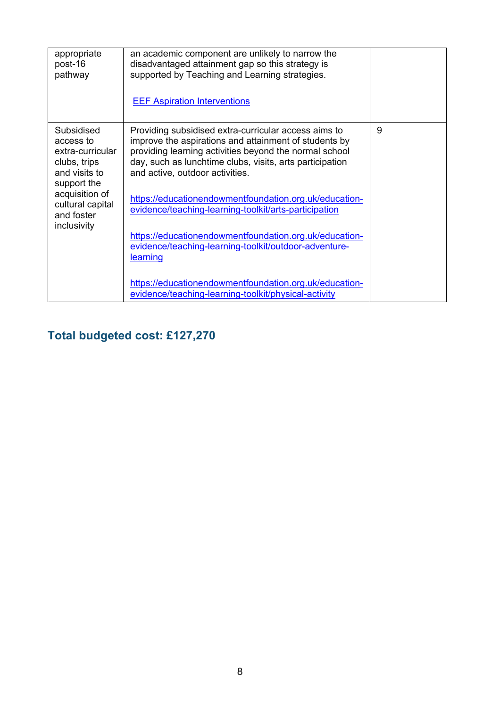| appropriate<br>post-16<br>pathway                                                                                                                              | an academic component are unlikely to narrow the<br>disadvantaged attainment gap so this strategy is<br>supported by Teaching and Learning strategies.<br><b>EEF Aspiration Interventions</b>                                                                                                                                                                                                                                                                                                                                                                                      |   |
|----------------------------------------------------------------------------------------------------------------------------------------------------------------|------------------------------------------------------------------------------------------------------------------------------------------------------------------------------------------------------------------------------------------------------------------------------------------------------------------------------------------------------------------------------------------------------------------------------------------------------------------------------------------------------------------------------------------------------------------------------------|---|
| Subsidised<br>access to<br>extra-curricular<br>clubs, trips<br>and visits to<br>support the<br>acquisition of<br>cultural capital<br>and foster<br>inclusivity | Providing subsidised extra-curricular access aims to<br>improve the aspirations and attainment of students by<br>providing learning activities beyond the normal school<br>day, such as lunchtime clubs, visits, arts participation<br>and active, outdoor activities.<br>https://educationendowmentfoundation.org.uk/education-<br>evidence/teaching-learning-toolkit/arts-participation<br>https://educationendowmentfoundation.org.uk/education-<br>evidence/teaching-learning-toolkit/outdoor-adventure-<br>learning<br>https://educationendowmentfoundation.org.uk/education- | 9 |
|                                                                                                                                                                | evidence/teaching-learning-toolkit/physical-activity                                                                                                                                                                                                                                                                                                                                                                                                                                                                                                                               |   |

# **Total budgeted cost: £127,270**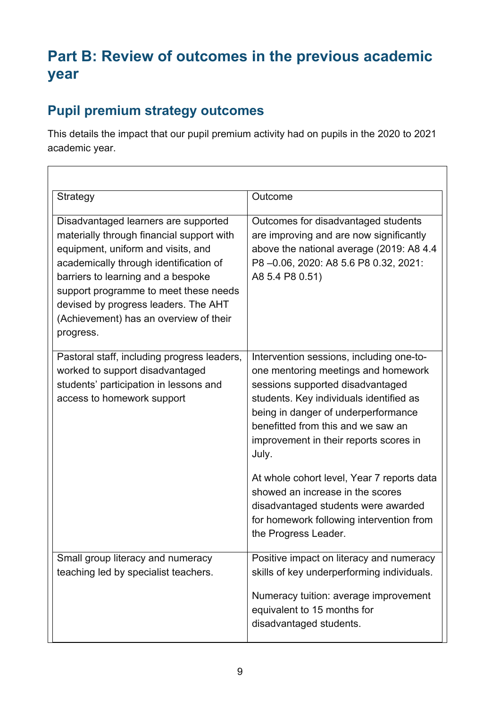# **Part B: Review of outcomes in the previous academic year**

## **Pupil premium strategy outcomes**

This details the impact that our pupil premium activity had on pupils in the 2020 to 2021 academic year.

| Strategy                                                                                                                                                                                                                                                                                                                                        | Outcome                                                                                                                                                                                                                                                                                        |
|-------------------------------------------------------------------------------------------------------------------------------------------------------------------------------------------------------------------------------------------------------------------------------------------------------------------------------------------------|------------------------------------------------------------------------------------------------------------------------------------------------------------------------------------------------------------------------------------------------------------------------------------------------|
| Disadvantaged learners are supported<br>materially through financial support with<br>equipment, uniform and visits, and<br>academically through identification of<br>barriers to learning and a bespoke<br>support programme to meet these needs<br>devised by progress leaders. The AHT<br>(Achievement) has an overview of their<br>progress. | Outcomes for disadvantaged students<br>are improving and are now significantly<br>above the national average (2019: A8 4.4)<br>P8-0.06, 2020: A8 5.6 P8 0.32, 2021:<br>A8 5.4 P8 0.51)                                                                                                         |
| Pastoral staff, including progress leaders,<br>worked to support disadvantaged<br>students' participation in lessons and<br>access to homework support                                                                                                                                                                                          | Intervention sessions, including one-to-<br>one mentoring meetings and homework<br>sessions supported disadvantaged<br>students. Key individuals identified as<br>being in danger of underperformance<br>benefitted from this and we saw an<br>improvement in their reports scores in<br>July. |
|                                                                                                                                                                                                                                                                                                                                                 | At whole cohort level, Year 7 reports data<br>showed an increase in the scores<br>disadvantaged students were awarded<br>for homework following intervention from<br>the Progress Leader.                                                                                                      |
| Small group literacy and numeracy<br>teaching led by specialist teachers.                                                                                                                                                                                                                                                                       | Positive impact on literacy and numeracy<br>skills of key underperforming individuals.<br>Numeracy tuition: average improvement<br>equivalent to 15 months for<br>disadvantaged students.                                                                                                      |